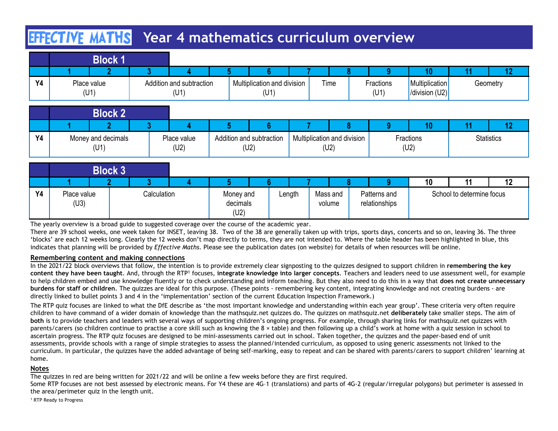# **HIFCTIVE MATHS** Year 4 mathematics curriculum overview

|           | <b>EFFECTIVE MATHS</b>     |                |                                  |   | Year 4 mathematics curriculum overview |                                     |              |                   |                                  |    |                   |
|-----------|----------------------------|----------------|----------------------------------|---|----------------------------------------|-------------------------------------|--------------|-------------------|----------------------------------|----|-------------------|
|           | <b>Block 1</b>             |                |                                  |   |                                        |                                     |              |                   |                                  |    |                   |
|           | 2                          | 3 <sup>1</sup> |                                  |   | 6                                      |                                     | 8            | 9                 | 10                               | 11 | 12                |
| <b>Y4</b> | Place value<br>(U1)        |                | Addition and subtraction<br>(U1) |   | Multiplication and division<br>(U1)    | Time                                |              | Fractions<br>(U1) | Multiplication<br>/division (U2) |    | Geometry          |
|           | <b>Block 2</b>             |                |                                  |   |                                        |                                     |              |                   |                                  |    |                   |
|           | $\overline{2}$             | 3 <sup>1</sup> |                                  | 5 |                                        |                                     | $\mathbf{8}$ | $9^{\circ}$       | 10                               | 11 | 12                |
| <b>Y4</b> | Money and decimals<br>(U1) |                | Place value<br>(U2)              |   | Addition and subtraction<br>(U2)       | Multiplication and division<br>(U2) |              |                   | Fractions<br>(U2)                |    | <b>Statistics</b> |

|           | <b>Block 2</b>             |  |                     |      |                          |      |                             |      |           |                   |
|-----------|----------------------------|--|---------------------|------|--------------------------|------|-----------------------------|------|-----------|-------------------|
|           |                            |  |                     |      |                          |      |                             |      |           |                   |
| <b>Y4</b> | Money and decimals<br>(U1) |  | Place value<br>(U2) | (U2) | Addition and subtraction | (U2) | Multiplication and division | (U2) | Fractions | <b>Statistics</b> |

|           |                                                                                                                                                                                                                                                                                                                                                                                                                                                                                                                                                                                                                                                                                                                                                               | EFFECTIVE MATHS |              |                                  | Year 4 mathematics curriculum overview |                                     |                                     |              |                               |                                  |                           |                   |
|-----------|---------------------------------------------------------------------------------------------------------------------------------------------------------------------------------------------------------------------------------------------------------------------------------------------------------------------------------------------------------------------------------------------------------------------------------------------------------------------------------------------------------------------------------------------------------------------------------------------------------------------------------------------------------------------------------------------------------------------------------------------------------------|-----------------|--------------|----------------------------------|----------------------------------------|-------------------------------------|-------------------------------------|--------------|-------------------------------|----------------------------------|---------------------------|-------------------|
|           |                                                                                                                                                                                                                                                                                                                                                                                                                                                                                                                                                                                                                                                                                                                                                               | <b>Block 1</b>  |              |                                  |                                        |                                     |                                     |              |                               | 10                               | 11                        | 12                |
| <b>Y4</b> | Place value<br>(U1)                                                                                                                                                                                                                                                                                                                                                                                                                                                                                                                                                                                                                                                                                                                                           |                 |              | Addition and subtraction<br>(U1) |                                        | Multiplication and division<br>(U1) | Time                                |              | Fractions<br>(U1)             | Multiplication<br>/division (U2) |                           | Geometry          |
|           |                                                                                                                                                                                                                                                                                                                                                                                                                                                                                                                                                                                                                                                                                                                                                               | <b>Block 2</b>  |              |                                  |                                        |                                     |                                     |              |                               |                                  |                           |                   |
|           |                                                                                                                                                                                                                                                                                                                                                                                                                                                                                                                                                                                                                                                                                                                                                               |                 | 3            |                                  | -5                                     |                                     |                                     | $\mathbf{R}$ | 9 <sup>°</sup>                | 10                               | 11                        | 12 <sup>2</sup>   |
| <b>Y4</b> | Money and decimals<br>(U1)                                                                                                                                                                                                                                                                                                                                                                                                                                                                                                                                                                                                                                                                                                                                    |                 |              | Place value<br>(U2)              | Addition and subtraction<br>(U2)       |                                     | Multiplication and division<br>(U2) |              |                               | Fractions<br>(U2)                |                           | <b>Statistics</b> |
|           |                                                                                                                                                                                                                                                                                                                                                                                                                                                                                                                                                                                                                                                                                                                                                               | <b>Block 3</b>  |              |                                  |                                        |                                     |                                     |              |                               |                                  |                           |                   |
|           |                                                                                                                                                                                                                                                                                                                                                                                                                                                                                                                                                                                                                                                                                                                                                               |                 | $\mathbf{R}$ |                                  |                                        |                                     |                                     |              | a                             | 10                               | 11                        | 12                |
| <b>Y4</b> | Place value<br>(U3)                                                                                                                                                                                                                                                                                                                                                                                                                                                                                                                                                                                                                                                                                                                                           |                 | Calculation  |                                  | Money and<br>decimals<br>(U2)          | Length                              | Mass and<br>volume                  |              | Patterns and<br>relationships |                                  | School to determine focus |                   |
|           | The yearly overview is a broad guide to suggested coverage over the course of the academic year.<br>There are 39 school weeks, one week taken for INSET, leaving 38. Two of the 38 are generally taken up with trips, sports days, concerts and so on, leaving 36. The three<br>'blocks' are each 12 weeks long. Clearly the 12 weeks don't map directly to terms, they are not intended to. Where the table header has been highlighted in blue, this<br>indicates that planning will be provided by Effective Maths. Please see the publication dates (on website) for details of when resources will be online.                                                                                                                                            |                 |              |                                  |                                        |                                     |                                     |              |                               |                                  |                           |                   |
|           | Remembering content and making connections<br>In the 2021/22 block overviews that follow, the intention is to provide extremely clear signposting to the quizzes designed to support children in remembering the key<br>content they have been taught. And, through the RTP <sup>1</sup> focuses, integrate knowledge into larger concepts. Teachers and leaders need to use assessment well, for example<br>to help children embed and use knowledge fluently or to check understanding and inform teaching. But they also need to do this in a way that does not create unnecessary<br>burdens for staff or children. The quizzes are ideal for this purpose. (These points - remembering key content, integrating knowledge and not creating burdens - are |                 |              |                                  |                                        |                                     |                                     |              |                               |                                  |                           |                   |
|           | directly linked to bullet points 3 and 4 in the 'implementation' section of the current Education Inspection Framework.)                                                                                                                                                                                                                                                                                                                                                                                                                                                                                                                                                                                                                                      |                 |              |                                  |                                        |                                     |                                     |              |                               |                                  |                           |                   |

### Remembering content and making connections

The RTP quiz focuses are linked to what the DfE describe as 'the most important knowledge and understanding within each year group'. These criteria very often require children to have command of a wider domain of knowledge than the mathsquiz.net quizzes do. The quizzes on mathsquiz.net deliberately take smaller steps. The aim of both is to provide teachers and leaders with several ways of supporting children's ongoing progress. For example, through sharing links for mathsquiz.net quizzes with parents/carers (so children continue to practise a core skill such as knowing the 8 × table) and then following up a child's work at home with a quiz session in school to ascertain progress. The RTP quiz focuses are designed to be mini-assessments carried out in school. Taken together, the quizzes and the paper-based end of unit **Block 3**<br> **Place value** Calculation Money and Length Mass and Patterns and School to determine focus<br>
The yearly overview is a broad guide to suggested coverage over the course of the academic year.<br>
The yearly overview i curriculum. In particular, the quizzes have the added advantage of being self-marking, easy to repeat and can be shared with parents/carers to support children' learning at home.

### Notes

The quizzes in red are being written for 2021/22 and will be online a few weeks before they are first required.

Some RTP focuses are not best assessed by electronic means. For Y4 these are 4G-1 (translations) and parts of 4G-2 (regular/irregular polygons) but perimeter is assessed in the area/perimeter quiz in the length unit.

<sup>1</sup> RTP Ready to Progress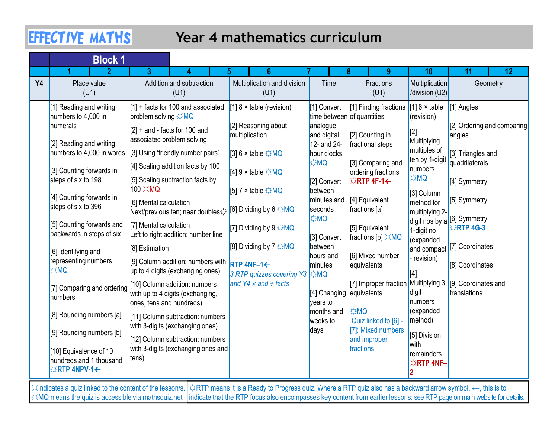## Year 4 mathematics curriculum

|    | <b>EFFECTIVE MATHS</b>                                                   |                                                                                                                                   | Year 4 mathematics curriculum                                                           |                                                       |                                                              |                                                |                                                        |
|----|--------------------------------------------------------------------------|-----------------------------------------------------------------------------------------------------------------------------------|-----------------------------------------------------------------------------------------|-------------------------------------------------------|--------------------------------------------------------------|------------------------------------------------|--------------------------------------------------------|
|    | <b>Block 1</b>                                                           | 3.                                                                                                                                |                                                                                         |                                                       | $9^{\circ}$                                                  | 10                                             | 12<br>11                                               |
| Y4 | Place value<br>(U1)                                                      | Addition and subtraction<br>(U1)                                                                                                  | Multiplication and division<br>(U1)                                                     | Time                                                  | Fractions<br>(U1)                                            | Multiplication<br>$ $ /division (U2) $ $       | Geometry                                               |
|    | $[1]$ Reading and writing<br>numbers to 4,000 in<br>numerals             | $[1]$ + facts for 100 and associated<br>problem solving $\Diamond MQ$                                                             | $[1]$ 8 $\times$ table (revision)<br>[2] Reasoning about                                | [1] Convert<br>time between of quantities<br>analogue | [1] Finding fractions                                        | [1] $6 \times$ table<br>(revision)             | [1] Angles<br>[2] Ordering and comparing               |
|    | [2] Reading and writing                                                  | $[2]$ + and - facts for 100 and<br>associated problem solving<br>numbers to 4,000 in words [3] Using 'friendly number pairs'      | multiplication<br>[3] 6 $\times$ table $\Leftrightarrow$ MQ                             | and digital<br>12- and 24-<br>hour clocks             | [2] Counting in<br>fractional steps                          | [2]<br>Multiplying<br>multiples of             | angles<br>[3] Triangles and                            |
|    | [3] Counting forwards in<br>steps of six to 198                          | [4] Scaling addition facts by 100<br>[5] Scaling subtraction facts by                                                             | [4] $9 \times$ table $\Leftrightarrow$ MQ                                               | <b>EXMQ</b><br>[2] Convert                            | [3] Comparing and<br>ordering fractions<br><b>EXRTP4F-1←</b> | ten by 1-digit<br>numbers<br><b>OM</b>         | quadrilaterals<br>[4] Symmetry                         |
|    | [4] Counting forwards in<br>steps of six to 396                          | 100 <del>☆MQ</del><br>[6] Mental calculation<br>Next/previous ten; near doubles☆ <mark>[</mark> 6] Dividing by 6 ☆MQ              | $[5]$ 7 × table $\div$ MQ                                                               | between<br>seconds                                    | $minutes$ and $[4]$ Equivalent<br>fractions [a]              | [3] Column                                     | method for [5] Symmetry                                |
|    | [5] Counting forwards and<br>backwards in steps of six                   | [7] Mental calculation<br>Left to right addition; number line                                                                     | [7] Dividing by $9 \times MQ$                                                           | <b>DMC</b><br>[3] Convert                             | [5] Equivalent<br><b>fractions</b> [b] ☆MQ                   | multiplying 2-<br>1-digit no<br>(expanded      | digit nos by a $ 16 $ Symmetry<br>$\triangle$ RTP 4G-3 |
|    | [6] Identifying and<br>representing numbers<br><b>DM</b> Q               | [8] Estimation<br> [9] Column addition: numbers with  RTP 4NF-1←                                                                  | $[8]$ Dividing by $7 \times MQ$                                                         | between<br>hours and<br>minutes                       | [6] Mixed number<br>equivalents                              | revision)                                      | and compact [7] Coordinates<br>[8] Coordinates         |
|    | [7] Comparing and ordering<br>numbers                                    | up to 4 digits (exchanging ones)<br>[10] Column addition: numbers<br>with up to 4 digits (exchanging,<br>ones, tens and hundreds) | $ 3$ RTP quizzes covering Y3 $ \nleftrightarrow$ MQ<br>and $Y4 \times$ and $\div$ facts | [[4] Changing   equivalents<br>vears to               | [7] Improper fraction                                        | Multiplying 3<br>digit<br>numbers              | [9] Coordinates and<br>translations                    |
|    | [8] Rounding numbers [a]                                                 | [11] Column subtraction: numbers                                                                                                  |                                                                                         | months and<br>weeks to                                | <b>OM</b><br>Quiz linked to [6] -                            | (expanded<br>method)                           |                                                        |
|    | [9] Rounding numbers [b]                                                 | with 3-digits (exchanging ones)<br>[12] Column subtraction: numbers                                                               |                                                                                         | <b>days</b>                                           | [7]: Mixed numbers<br>and improper                           | [5] Division                                   |                                                        |
|    | [10] Equivalence of 10<br>hundreds and 1 thousand<br><b>¢RTP 4NPV-1←</b> | with 3-digits (exchanging ones and<br>tens)                                                                                       |                                                                                         |                                                       | fractions                                                    | <b>with</b><br>remainders<br>$\angle$ RTP 4NF- |                                                        |

☼indicates a quiz linked to the content of the lesson/s. ☼RTP means it is a Ready to Progress quiz. Where a RTP quiz also has a backward arrow symbol, ←, this is to ☆MQ means the quiz is accessible via mathsquiz.net |indicate that the RTP focus also encompasses key content from earlier lessons: see RTP page on main website for details.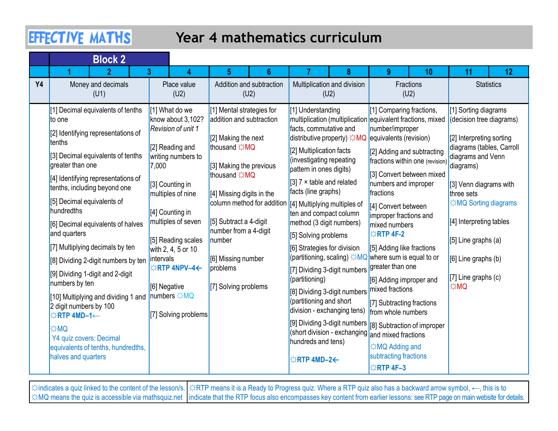## Year 4 mathematics curriculum

|           | <b>EFFECTIVE MATHS</b>                                                                                                                                                                                                                                                                                                                                                                                                                                                                                                                                                                                                                                                |                                                                                                                                                                                                                                                                                                                                                    | Year 4 mathematics curriculum                                                                                                                                                                                                                                                                                                                             |                                                                                                                                                                                                                                                                                                                                                                                                                                                                                                                                                                                                                                                                               |                                                                                                                                                                                                                                                                                                                                                                                                                                                                                                                                                                                                                                                                                               |                                                                                                                                                                                                                                                                                                              |
|-----------|-----------------------------------------------------------------------------------------------------------------------------------------------------------------------------------------------------------------------------------------------------------------------------------------------------------------------------------------------------------------------------------------------------------------------------------------------------------------------------------------------------------------------------------------------------------------------------------------------------------------------------------------------------------------------|----------------------------------------------------------------------------------------------------------------------------------------------------------------------------------------------------------------------------------------------------------------------------------------------------------------------------------------------------|-----------------------------------------------------------------------------------------------------------------------------------------------------------------------------------------------------------------------------------------------------------------------------------------------------------------------------------------------------------|-------------------------------------------------------------------------------------------------------------------------------------------------------------------------------------------------------------------------------------------------------------------------------------------------------------------------------------------------------------------------------------------------------------------------------------------------------------------------------------------------------------------------------------------------------------------------------------------------------------------------------------------------------------------------------|-----------------------------------------------------------------------------------------------------------------------------------------------------------------------------------------------------------------------------------------------------------------------------------------------------------------------------------------------------------------------------------------------------------------------------------------------------------------------------------------------------------------------------------------------------------------------------------------------------------------------------------------------------------------------------------------------|--------------------------------------------------------------------------------------------------------------------------------------------------------------------------------------------------------------------------------------------------------------------------------------------------------------|
|           | <b>Block 2</b>                                                                                                                                                                                                                                                                                                                                                                                                                                                                                                                                                                                                                                                        |                                                                                                                                                                                                                                                                                                                                                    |                                                                                                                                                                                                                                                                                                                                                           |                                                                                                                                                                                                                                                                                                                                                                                                                                                                                                                                                                                                                                                                               | <b>Q</b>                                                                                                                                                                                                                                                                                                                                                                                                                                                                                                                                                                                                                                                                                      |                                                                                                                                                                                                                                                                                                              |
| <b>Y4</b> | Money and decimals<br>(U1)                                                                                                                                                                                                                                                                                                                                                                                                                                                                                                                                                                                                                                            | Place value<br>(U2)                                                                                                                                                                                                                                                                                                                                | Addition and subtraction<br>(U2)                                                                                                                                                                                                                                                                                                                          | Multiplication and division<br>(U2)                                                                                                                                                                                                                                                                                                                                                                                                                                                                                                                                                                                                                                           | 10<br>Fractions<br>(U2)                                                                                                                                                                                                                                                                                                                                                                                                                                                                                                                                                                                                                                                                       | 11<br>$12 \overline{ }$<br><b>Statistics</b>                                                                                                                                                                                                                                                                 |
|           | [1] Decimal equivalents of tenths<br>to one<br>[2] Identifying representations of<br>tenths<br>[3] Decimal equivalents of tenths<br>greater than one<br>[4] Identifying representations of<br>tenths, including beyond one<br>[5] Decimal equivalents of<br>hundredths<br>[6] Decimal equivalents of halves<br>and quarters<br>[7] Multiplying decimals by ten<br>[8] Dividing 2-digit numbers by ten<br>[9] Dividing 1-digit and 2-digit<br>numbers by ten<br>[10] Multiplying and dividing 1 and  numbers ☆MQ<br>2 digit numbers by 100<br><b>☆RTP 4MD-1←</b><br><b>OMC</b><br>Y4 quiz covers: Decimal<br>equivalents of tenths, hundredths,<br>halves and quarters | [1] What do we<br>know about 3,102?<br><b>Revision of unit 1</b><br>[2] Reading and<br>writing numbers to<br>7,000<br>[3] Counting in<br>multiples of nine<br>[4] Counting in<br>multiples of seven<br>[5] Reading scales<br>with 2, 4, 5 or 10<br><i>intervals</i><br>$\triangle$ RTP 4NPV-4 $\leftarrow$<br>[6] Negative<br>[7] Solving problems | [1] Mental strategies for<br>addition and subtraction<br>$[2]$ Making the next<br>thousand XMQ<br>[3] Making the previous<br>thousand XMQ<br>[4] Missing digits in the<br>column method for addition  [4] Multiplying multiples of<br>[5] Subtract a 4-digit<br>number from a 4-digit<br>number<br>[6] Missing number<br>problems<br>[7] Solving problems | [1] Understanding<br>facts, commutative and<br>distributive property) $\sharp$ MQ<br>[2] Multiplication facts<br>(investigating repeating<br>pattern in ones digits)<br>[3] $7 \times$ table and related<br>facts (line graphs)<br>ten and compact column<br>method (3 digit numbers)<br>[5] Solving problems<br>[6] Strategies for division<br>[7] Dividing 3-digit numbers<br>(partitioning)<br>[8] Dividing 3-digit numbers mixed fractions<br>(partitioning and short<br>$\frac{1}{1}$ division - exchanging tens) $\frac{1}{1}$ from whole numbers<br>(short division - exchanging and mixed fractions<br>hundreds and tens)<br>$\Leftrightarrow$ RTP 4MD-2 $\leftarrow$ | [1] Comparing fractions,<br>multiplication (multiplication equivalent fractions, mixed<br>number/improper<br>equivalents (revision)<br>[2] Adding and subtracting<br>fractions within one (revision) diagrams)<br>[3] Convert between mixed<br>numbers and improper<br>fractions<br>[4] Convert between<br>improper fractions and<br>mixed numbers<br><b>☆RTP 4F-2</b><br>[5] Adding like fractions<br>(partitioning, scaling) $\frac{1}{\sqrt{2}}$ MQ where sum is equal to or<br>greater than one<br>[6] Adding improper and<br>[7] Subtracting fractions<br>[9] Dividing 3-digit numbers [8] Subtraction of improper<br><b>☆MQ Adding and</b><br>subtracting fractions<br><b>☆RTP 4F-3</b> | [1] Sorting diagrams<br>(decision tree diagrams)<br>[2] Interpreting sorting<br>diagrams (tables, Carroll<br>diagrams and Venn<br>[3] Venn diagrams with<br>three sets<br>☆MQ Sorting diagrams<br>[4] Interpreting tables<br>$[5]$ Line graphs (a)<br>$[6]$ Line graphs (b)<br>$[7]$ Line graphs (c)<br> ☆MQ |

☼indicates a quiz linked to the content of the lesson/s. ☼RTP means it is a Ready to Progress quiz. Where a RTP quiz also has a backward arrow symbol, ←, this is to ☆MQ means the quiz is accessible via mathsquiz.net |indicate that the RTP focus also encompasses key content from earlier lessons: see RTP page on main website for details.